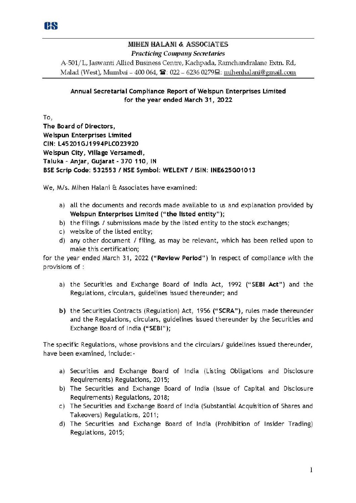

## MIHEN HALANI & ASSOCIATES *Practiciug Compauy Secretaries*

A-501/ L, Jaswanti Allied Business Centre, Kachpada, Rarnchandralane Extn. Rd, Malad (West), Mumbai - 400 064,  $\mathbf{\hat{m}}$ : 022 - 6236 0279 $\mathbf{\Xi}$ : mihenhalani@gmail.com

## Annual Secretarial Compliance Report of Welspun Enterprises Limited for the year ended March 31, 2022

To, The Board of Directors, Welspun Enterprises Limited CIN: L45201 GJ1994PLC023920 Welspun City, Village Versamedi , Taluka - An jar, Gujarat - 370 110, IN BSE Scrip Code: 532553 / NSE Symbol: WELENT / ISIN: INE625G01013

We, M/s. Mihen Halani & Associates have examined:

- a) all the documents and records made available to us and explanation provided by Welspun Enterprises Limited ("the listed entity");
- b) the filings / submissions made by the listed entity to the stock exchanges;
- c) website of the listed entity;
- d) any other document I filing, as may be relevant, which has been relied upon to make this certification;

for the year ended March 31, 2022 ("Review Period") in respect of compliance with the provisions of :

- a) the Securities and Exchange Board of India Act, 1992 ("SEBI Act") and the Regulations, circulars, guidelines issued thereunder; and
- b) the Securities Contracts (Regulation) Act, 1956 ("SCRA"), rules made thereunder and the Regulations, circulars, guidelines issued thereunder by the Securities and Exchange Board of India (" SEBI" );

The specific Regulations, whose provisions and the circulars/ guidelines issued thereunder, have been examined, include:-

- a) Securities and Exchange Board of India (Listing Obligations and Disclosure Requirements) Regulations, 2015;
- b) The Securities and Exchange Board of India {Issue of Capital and Disclosure Requirements) Regulations, 2018;
- c) The Securities and Exchange Board of India (Substantial Acquisition of Shares and Takeovers) Regulations, 2011;
- d) The Securities and Exchange Board of India (Prohibition of Insider Trading) Regulations, 2015;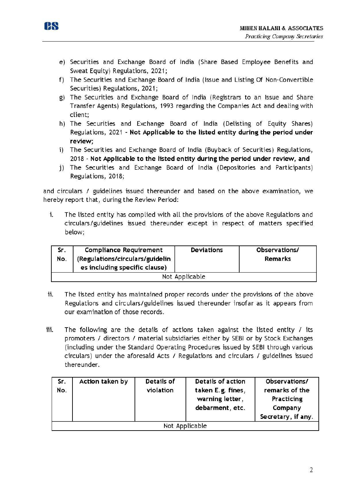



- e) Securities and Exchange Board of India (Share Based Employee Benefits and Sweat Equity) Regulations, 2021;
- f) The Securities and Exchange Board of India (Issue and Listing Of Non-Convertible Securities) Regulations, 2021;
- g) The Securities and Exchange Board of India (Registrars to an Issue and Share Transfer Agents) Regulations, 1993 regarding the Companies Act and dealing with client;
- h) The Securities and Exchange Board of India (Delisting of Equity Shares) Regulations, 2021 - **Not Applicable to the listed entity during the period under review;**
- i) The Securities and Exchange Board of India (Buyback of Securities) Regulations, 2018- **Not Applicable to the listed entity during the period under review, and**
- j) The Securities and Exchange Board of India (Depositories and Participants) Regulations, 2018;

and circulars / guidelines issued thereunder and based on the above examination, we hereby report that, during the Review Period:

i. The listed entity has complied with all the provisions of the above Regulations and circulars/guidelines issued thereunder except in respect of matters specified below;

| <b>Compliance Requirement</b><br>Sr.<br>No.<br>(Regulations/circulars/guidelin<br>es including specific clause) |  | Deviations     | Observations/<br><b>Remarks</b> |
|-----------------------------------------------------------------------------------------------------------------|--|----------------|---------------------------------|
|                                                                                                                 |  | Not Applicable |                                 |

- ii. The listed entity has maintained proper records under the provisions of the above Regulations and circulars/guidelines issued thereunder insofar as it appears from our examination of those records.
- iii. The following are the details of actions taken against the listed entity  $\ell$  its promoters I directors I material subsidiaries either by SEBI or by Stock Exchanges (including under the Standard Operating Procedures issued by SEBI through various circulars) under the aforesaid Acts / Regulations and circulars / guidelines issued thereunder.

| Sr.<br>No. | Action taken by | Details of<br>violation | Details of action<br>taken E.g. fines,<br>warning letter,<br>debarment, etc. | Observations/<br>remarks of the<br>Practicing<br>Company<br>Secretary, if any. |
|------------|-----------------|-------------------------|------------------------------------------------------------------------------|--------------------------------------------------------------------------------|
|            |                 |                         | Not Applicable                                                               |                                                                                |